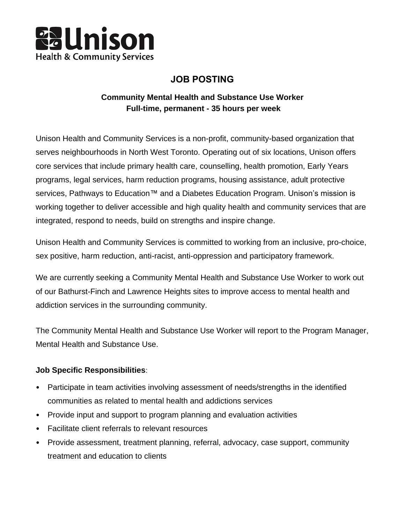

# **JOB POSTING**

# **Community Mental Health and Substance Use Worker Full-time, permanent - 35 hours per week**

Unison Health and Community Services is a non-profit, community-based organization that serves neighbourhoods in North West Toronto. Operating out of six locations, Unison offers core services that include primary health care, counselling, health promotion, Early Years programs, legal services, harm reduction programs, housing assistance, adult protective services, Pathways to Education™ and a Diabetes Education Program. Unison's mission is working together to deliver accessible and high quality health and community services that are integrated, respond to needs, build on strengths and inspire change.

Unison Health and Community Services is committed to working from an inclusive, pro-choice, sex positive, harm reduction, anti-racist, anti-oppression and participatory framework.

We are currently seeking a Community Mental Health and Substance Use Worker to work out of our Bathurst-Finch and Lawrence Heights sites to improve access to mental health and addiction services in the surrounding community.

The Community Mental Health and Substance Use Worker will report to the Program Manager, Mental Health and Substance Use.

## **Job Specific Responsibilities**:

- Participate in team activities involving assessment of needs/strengths in the identified communities as related to mental health and addictions services
- Provide input and support to program planning and evaluation activities
- Facilitate client referrals to relevant resources
- Provide assessment, treatment planning, referral, advocacy, case support, community treatment and education to clients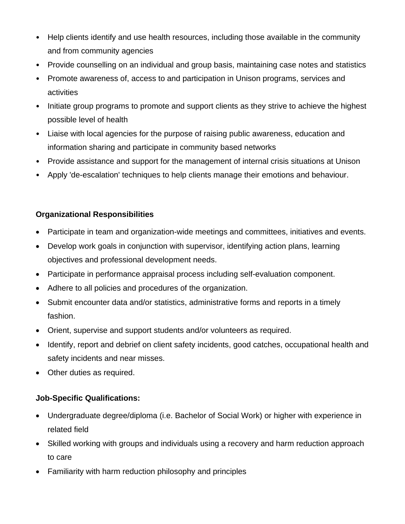- Help clients identify and use health resources, including those available in the community and from community agencies
- Provide counselling on an individual and group basis, maintaining case notes and statistics
- Promote awareness of, access to and participation in Unison programs, services and activities
- Initiate group programs to promote and support clients as they strive to achieve the highest possible level of health
- Liaise with local agencies for the purpose of raising public awareness, education and information sharing and participate in community based networks
- Provide assistance and support for the management of internal crisis situations at Unison
- Apply 'de-escalation' techniques to help clients manage their emotions and behaviour.

# **Organizational Responsibilities**

- Participate in team and organization-wide meetings and committees, initiatives and events.
- Develop work goals in conjunction with supervisor, identifying action plans, learning objectives and professional development needs.
- Participate in performance appraisal process including self-evaluation component.
- Adhere to all policies and procedures of the organization.
- Submit encounter data and/or statistics, administrative forms and reports in a timely fashion.
- Orient, supervise and support students and/or volunteers as required.
- Identify, report and debrief on client safety incidents, good catches, occupational health and safety incidents and near misses.
- Other duties as required.

## **Job-Specific Qualifications:**

- Undergraduate degree/diploma (i.e. Bachelor of Social Work) or higher with experience in related field
- Skilled working with groups and individuals using a recovery and harm reduction approach to care
- Familiarity with harm reduction philosophy and principles